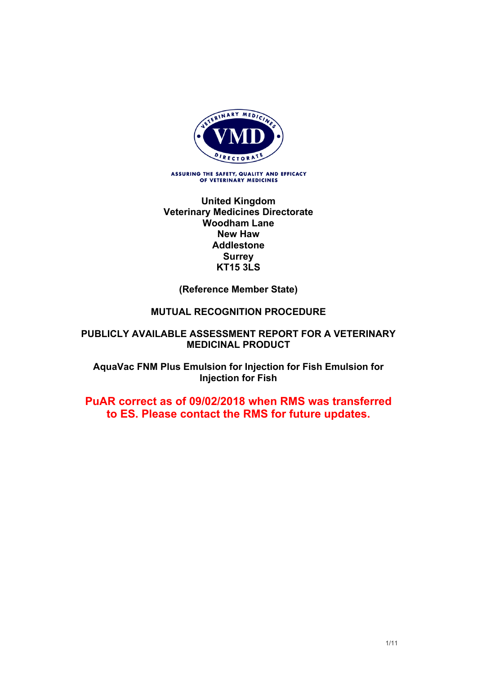

**United Kingdom Veterinary Medicines Directorate Woodham Lane New Haw Addlestone Surrey KT15 3LS**

**(Reference Member State)**

#### **MUTUAL RECOGNITION PROCEDURE**

#### **PUBLICLY AVAILABLE ASSESSMENT REPORT FOR A VETERINARY MEDICINAL PRODUCT**

**AquaVac FNM Plus Emulsion for Injection for Fish Emulsion for Injection for Fish** 

## **PuAR correct as of 09/02/2018 when RMS was transferred to ES. Please contact the RMS for future updates.**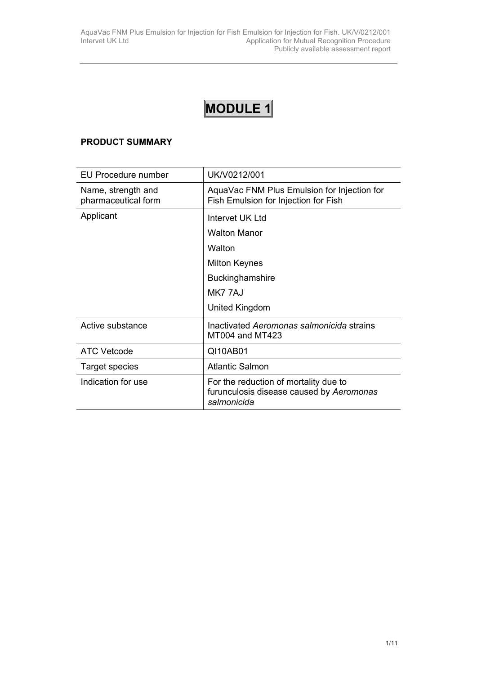#### **PRODUCT SUMMARY**

| EU Procedure number                       | UK/V0212/001                                                                                     |
|-------------------------------------------|--------------------------------------------------------------------------------------------------|
| Name, strength and<br>pharmaceutical form | AquaVac FNM Plus Emulsion for Injection for<br>Fish Emulsion for Injection for Fish              |
| Applicant                                 | Intervet UK Ltd                                                                                  |
|                                           | <b>Walton Manor</b>                                                                              |
|                                           | Walton                                                                                           |
|                                           | <b>Milton Keynes</b>                                                                             |
|                                           | <b>Buckinghamshire</b>                                                                           |
|                                           | MK777AJ                                                                                          |
|                                           | United Kingdom                                                                                   |
| Active substance                          | Inactivated Aeromonas salmonicida strains<br>MT004 and MT423                                     |
| ATC Vetcode                               | QI10AB01                                                                                         |
| <b>Target species</b>                     | <b>Atlantic Salmon</b>                                                                           |
| Indication for use                        | For the reduction of mortality due to<br>furunculosis disease caused by Aeromonas<br>salmonicida |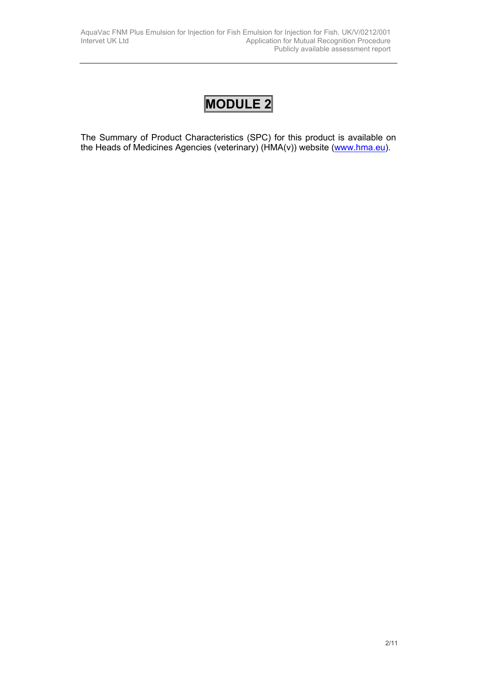The Summary of Product Characteristics (SPC) for this product is available on the Heads of Medicines Agencies (veterinary) (HMA(v)) website [\(www.hma.eu](http://www.hma.eu/)).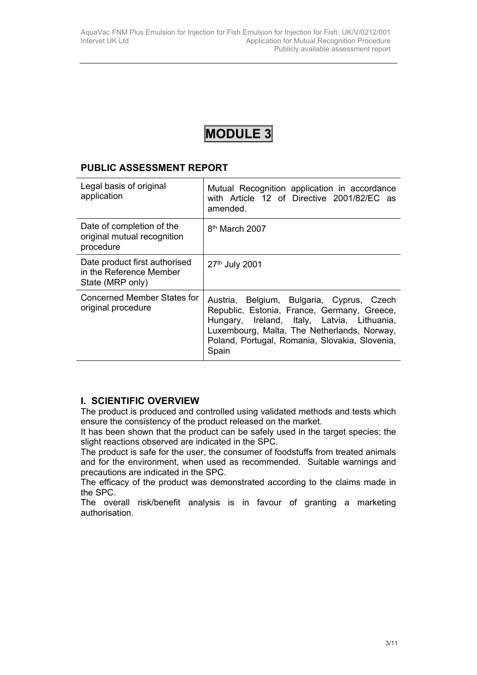## **PUBLIC ASSESSMENT REPORT**

| Legal basis of original<br>application                                       | Mutual Recognition application in accordance<br>with Article 12 of Directive 2001/82/EC as<br>amended.                                                                                                                                            |
|------------------------------------------------------------------------------|---------------------------------------------------------------------------------------------------------------------------------------------------------------------------------------------------------------------------------------------------|
| Date of completion of the<br>original mutual recognition<br>procedure        | 8 <sup>th</sup> March 2007                                                                                                                                                                                                                        |
| Date product first authorised<br>in the Reference Member<br>State (MRP only) | 27th July 2001                                                                                                                                                                                                                                    |
| Concerned Member States for<br>original procedure                            | Austria, Belgium, Bulgaria, Cyprus, Czech<br>Republic, Estonia, France, Germany, Greece,<br>Hungary, Ireland, Italy, Latvia, Lithuania,<br>Luxembourg, Malta, The Netherlands, Norway,<br>Poland, Portugal, Romania, Slovakia, Slovenia,<br>Spain |

## **I. SCIENTIFIC OVERVIEW**

The product is produced and controlled using validated methods and tests which ensure the consistency of the product released on the market.

It has been shown that the product can be safely used in the target species; the slight reactions observed are indicated in the SPC.

The product is safe for the user, the consumer of foodstuffs from treated animals and for the environment, when used as recommended. Suitable warnings and precautions are indicated in the SPC.

The efficacy of the product was demonstrated according to the claims made in the SPC.

The overall risk/benefit analysis is in favour of granting a marketing authorisation.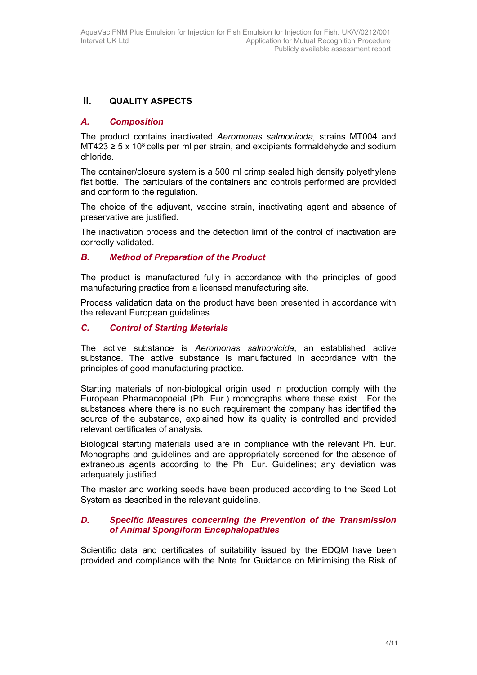## **II. QUALITY ASPECTS**

#### *A. Composition*

The product contains inactivated *Aeromonas salmonicida,* strains MT004 and MT423 ≥ 5 x 10<sup>8</sup> cells per ml per strain, and excipients formaldehyde and sodium chloride.

The container/closure system is a 500 ml crimp sealed high density polyethylene flat bottle. The particulars of the containers and controls performed are provided and conform to the regulation.

The choice of the adjuvant, vaccine strain, inactivating agent and absence of preservative are justified.

The inactivation process and the detection limit of the control of inactivation are correctly validated.

#### *B. Method of Preparation of the Product*

The product is manufactured fully in accordance with the principles of good manufacturing practice from a licensed manufacturing site*.*

Process validation data on the product have been presented in accordance with the relevant European guidelines.

#### *C. Control of Starting Materials*

The active substance is *Aeromonas salmonicida*, an established active substance. The active substance is manufactured in accordance with the principles of good manufacturing practice.

Starting materials of non-biological origin used in production comply with the European Pharmacopoeial (Ph. Eur.) monographs where these exist. For the substances where there is no such requirement the company has identified the source of the substance, explained how its quality is controlled and provided relevant certificates of analysis.

Biological starting materials used are in compliance with the relevant Ph. Eur. Monographs and guidelines and are appropriately screened for the absence of extraneous agents according to the Ph. Eur. Guidelines; any deviation was adequately justified.

The master and working seeds have been produced according to the Seed Lot System as described in the relevant quideline.

#### *D. Specific Measures concerning the Prevention of the Transmission of Animal Spongiform Encephalopathies*

Scientific data and certificates of suitability issued by the EDQM have been provided and compliance with the Note for Guidance on Minimising the Risk of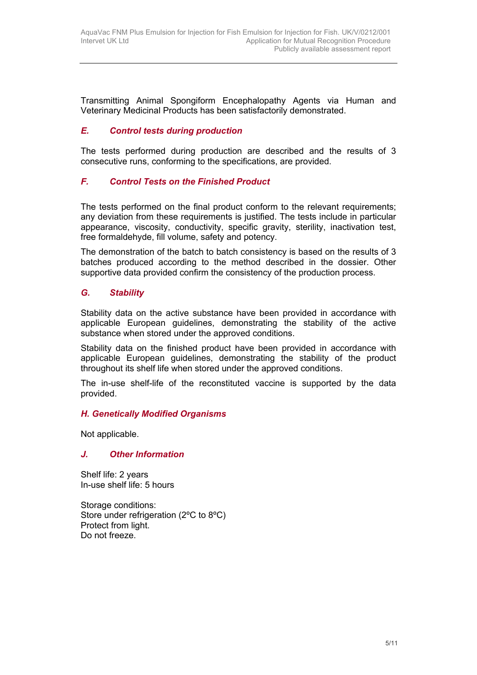Transmitting Animal Spongiform Encephalopathy Agents via Human and Veterinary Medicinal Products has been satisfactorily demonstrated.

### *E. Control tests during production*

The tests performed during production are described and the results of 3 consecutive runs, conforming to the specifications, are provided.

#### *F. Control Tests on the Finished Product*

The tests performed on the final product conform to the relevant requirements; any deviation from these requirements is justified. The tests include in particular appearance, viscosity, conductivity, specific gravity, sterility, inactivation test, free formaldehyde, fill volume, safety and potency.

The demonstration of the batch to batch consistency is based on the results of 3 batches produced according to the method described in the dossier. Other supportive data provided confirm the consistency of the production process.

#### *G. Stability*

Stability data on the active substance have been provided in accordance with applicable European guidelines, demonstrating the stability of the active substance when stored under the approved conditions.

Stability data on the finished product have been provided in accordance with applicable European guidelines, demonstrating the stability of the product throughout its shelf life when stored under the approved conditions.

The in-use shelf-life of the reconstituted vaccine is supported by the data provided.

#### *H. Genetically Modified Organisms*

Not applicable.

#### *J. Other Information*

Shelf life: 2 years In-use shelf life: 5 hours

Storage conditions: Store under refrigeration (2°C to 8°C) Protect from light. Do not freeze.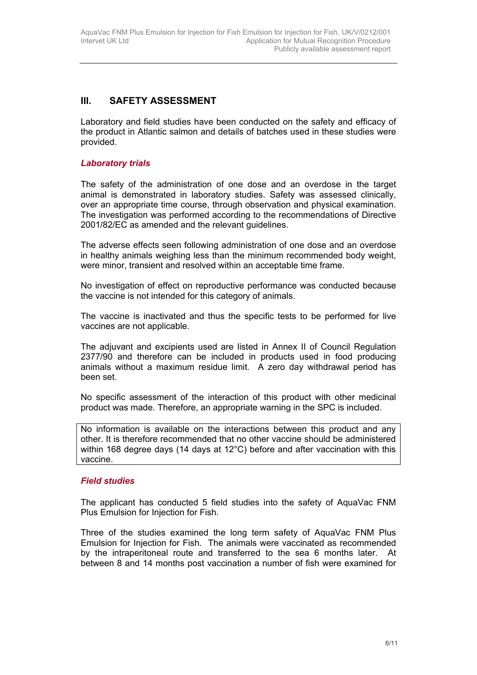### **III. SAFETY ASSESSMENT**

Laboratory and field studies have been conducted on the safety and efficacy of the product in Atlantic salmon and details of batches used in these studies were provided.

#### *Laboratory trials*

The safety of the administration of one dose and an overdose in the target animal is demonstrated in laboratory studies. Safety was assessed clinically, over an appropriate time course, through observation and physical examination. The investigation was performed according to the recommendations of Directive 2001/82/EC as amended and the relevant quidelines.

The adverse effects seen following administration of one dose and an overdose in healthy animals weighing less than the minimum recommended body weight, were minor, transient and resolved within an acceptable time frame.

No investigation of effect on reproductive performance was conducted because the vaccine is not intended for this category of animals.

The vaccine is inactivated and thus the specific tests to be performed for live vaccines are not applicable.

The adjuvant and excipients used are listed in Annex II of Council Regulation 2377/90 and therefore can be included in products used in food producing animals without a maximum residue limit. A zero day withdrawal period has been set.

No specific assessment of the interaction of this product with other medicinal product was made. Therefore, an appropriate warning in the SPC is included.

No information is available on the interactions between this product and any other. It is therefore recommended that no other vaccine should be administered within 168 degree days (14 days at 12°C) before and after vaccination with this vaccine.

#### *Field studies*

The applicant has conducted 5 field studies into the safety of AquaVac FNM Plus Emulsion for Injection for Fish.

Three of the studies examined the long term safety of AquaVac FNM Plus Emulsion for Injection for Fish. The animals were vaccinated as recommended by the intraperitoneal route and transferred to the sea 6 months later. At between 8 and 14 months post vaccination a number of fish were examined for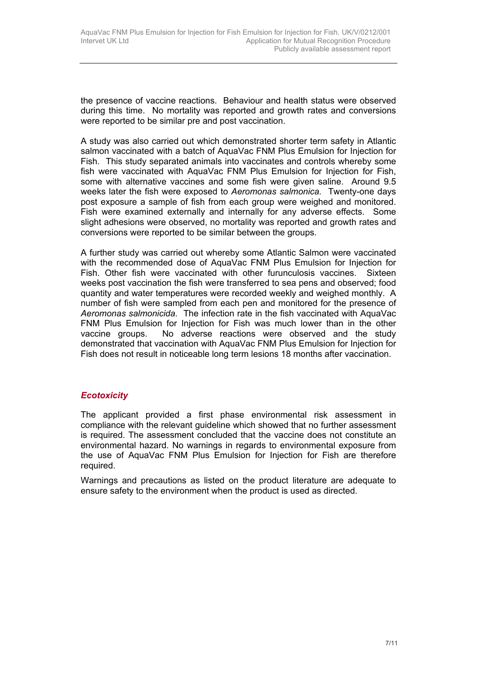the presence of vaccine reactions. Behaviour and health status were observed during this time. No mortality was reported and growth rates and conversions were reported to be similar pre and post vaccination.

A study was also carried out which demonstrated shorter term safety in Atlantic salmon vaccinated with a batch of AquaVac FNM Plus Emulsion for Injection for Fish. This study separated animals into vaccinates and controls whereby some fish were vaccinated with AquaVac FNM Plus Emulsion for Injection for Fish, some with alternative vaccines and some fish were given saline. Around 9.5 weeks later the fish were exposed to *Aeromonas salmonica.* Twenty-one days post exposure a sample of fish from each group were weighed and monitored. Fish were examined externally and internally for any adverse effects. Some slight adhesions were observed, no mortality was reported and growth rates and conversions were reported to be similar between the groups.

A further study was carried out whereby some Atlantic Salmon were vaccinated with the recommended dose of AquaVac FNM Plus Emulsion for Injection for Fish. Other fish were vaccinated with other furunculosis vaccines. Sixteen weeks post vaccination the fish were transferred to sea pens and observed; food quantity and water temperatures were recorded weekly and weighed monthly. A number of fish were sampled from each pen and monitored for the presence of *Aeromonas salmonicida*. The infection rate in the fish vaccinated with AquaVac FNM Plus Emulsion for Injection for Fish was much lower than in the other vaccine groups. No adverse reactions were observed and the study demonstrated that vaccination with AquaVac FNM Plus Emulsion for Injection for Fish does not result in noticeable long term lesions 18 months after vaccination.

#### *Ecotoxicity*

The applicant provided a first phase environmental risk assessment in compliance with the relevant guideline which showed that no further assessment is required. The assessment concluded that the vaccine does not constitute an environmental hazard. No warnings in regards to environmental exposure from the use of AquaVac FNM Plus Emulsion for Injection for Fish are therefore required.

Warnings and precautions as listed on the product literature are adequate to ensure safety to the environment when the product is used as directed.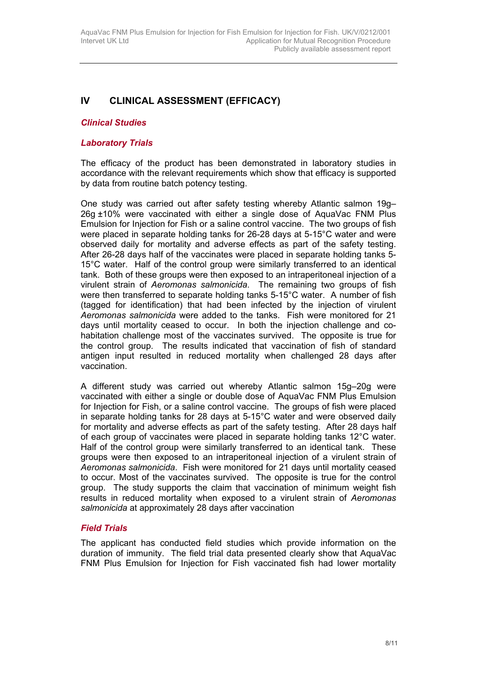## **IV CLINICAL ASSESSMENT (EFFICACY)**

#### *Clinical Studies*

#### *Laboratory Trials*

The efficacy of the product has been demonstrated in laboratory studies in accordance with the relevant requirements which show that efficacy is supported by data from routine batch potency testing.

One study was carried out after safety testing whereby Atlantic salmon 19g– 26g ±10% were vaccinated with either a single dose of AquaVac FNM Plus Emulsion for Injection for Fish or a saline control vaccine. The two groups of fish were placed in separate holding tanks for 26-28 days at 5-15°C water and were observed daily for mortality and adverse effects as part of the safety testing. After 26-28 days half of the vaccinates were placed in separate holding tanks 5- 15°C water. Half of the control group were similarly transferred to an identical tank. Both of these groups were then exposed to an intraperitoneal injection of a virulent strain of *Aeromonas salmonicida*. The remaining two groups of fish were then transferred to separate holding tanks 5-15°C water. A number of fish (tagged for identification) that had been infected by the injection of virulent *Aeromonas salmonicida* were added to the tanks. Fish were monitored for 21 days until mortality ceased to occur. In both the injection challenge and cohabitation challenge most of the vaccinates survived. The opposite is true for the control group. The results indicated that vaccination of fish of standard antigen input resulted in reduced mortality when challenged 28 days after vaccination.

A different study was carried out whereby Atlantic salmon 15g–20g were vaccinated with either a single or double dose of AquaVac FNM Plus Emulsion for Injection for Fish, or a saline control vaccine. The groups of fish were placed in separate holding tanks for 28 days at 5-15°C water and were observed daily for mortality and adverse effects as part of the safety testing. After 28 days half of each group of vaccinates were placed in separate holding tanks 12°C water. Half of the control group were similarly transferred to an identical tank. These groups were then exposed to an intraperitoneal injection of a virulent strain of *Aeromonas salmonicida*. Fish were monitored for 21 days until mortality ceased to occur. Most of the vaccinates survived. The opposite is true for the control group. The study supports the claim that vaccination of minimum weight fish results in reduced mortality when exposed to a virulent strain of *Aeromonas salmonicida* at approximately 28 days after vaccination

#### *Field Trials*

The applicant has conducted field studies which provide information on the duration of immunity. The field trial data presented clearly show that AquaVac FNM Plus Emulsion for Injection for Fish vaccinated fish had lower mortality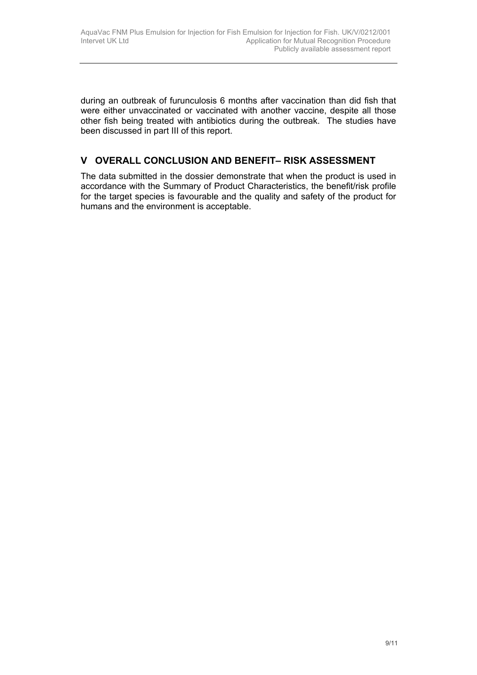during an outbreak of furunculosis 6 months after vaccination than did fish that were either unvaccinated or vaccinated with another vaccine, despite all those other fish being treated with antibiotics during the outbreak. The studies have been discussed in part III of this report.

## **V OVERALL CONCLUSION AND BENEFIT– RISK ASSESSMENT**

The data submitted in the dossier demonstrate that when the product is used in accordance with the Summary of Product Characteristics, the benefit/risk profile for the target species is favourable and the quality and safety of the product for humans and the environment is acceptable.